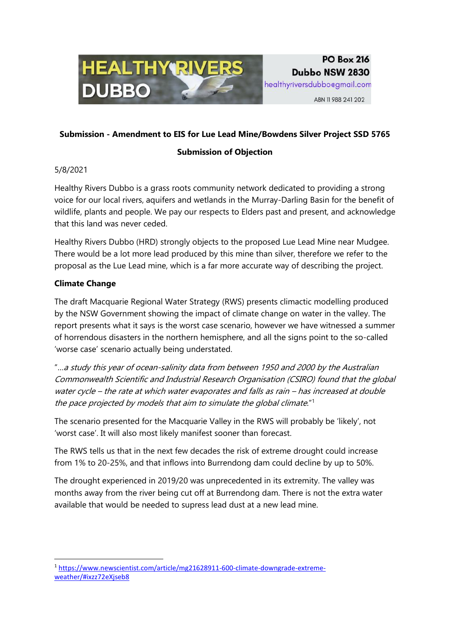

# **PO Box 216** Dubbo NSW 2830

healthyriversdubbo@gmail.com

ABN 11 988 241 202

## **Submission - Amendment to EIS for Lue Lead Mine/Bowdens Silver Project SSD 5765**

### **Submission of Objection**

5/8/2021

Healthy Rivers Dubbo is a grass roots community network dedicated to providing a strong voice for our local rivers, aquifers and wetlands in the Murray-Darling Basin for the benefit of wildlife, plants and people. We pay our respects to Elders past and present, and acknowledge that this land was never ceded.

Healthy Rivers Dubbo (HRD) strongly objects to the proposed Lue Lead Mine near Mudgee. There would be a lot more lead produced by this mine than silver, therefore we refer to the proposal as the Lue Lead mine, which is a far more accurate way of describing the project.

### **Climate Change**

The draft Macquarie Regional Water Strategy (RWS) presents climactic modelling produced by the NSW Government showing the impact of climate change on water in the valley. The report presents what it says is the worst case scenario, however we have witnessed a summer of horrendous disasters in the northern hemisphere, and all the signs point to the so-called 'worse case' scenario actually being understated.

"…a study this year of ocean-salinity data from between 1950 and 2000 by the Australian Commonwealth Scientific and Industrial Research Organisation (CSIRO) found that the global water cycle – the rate at which water evaporates and falls as rain – has increased at double the pace projected by models that aim to simulate the global climate."<sup>1</sup>

The scenario presented for the Macquarie Valley in the RWS will probably be 'likely', not 'worst case'. It will also most likely manifest sooner than forecast.

The RWS tells us that in the next few decades the risk of extreme drought could increase from 1% to 20-25%, and that inflows into Burrendong dam could decline by up to 50%.

The drought experienced in 2019/20 was unprecedented in its extremity. The valley was months away from the river being cut off at Burrendong dam. There is not the extra water available that would be needed to supress lead dust at a new lead mine.

**<sup>.</sup>** <sup>1</sup> [https://www.newscientist.com/article/mg21628911-600-climate-downgrade-extreme](https://www.newscientist.com/article/mg21628911-600-climate-downgrade-extreme-weather/#ixzz72eXjseb8)[weather/#ixzz72eXjseb8](https://www.newscientist.com/article/mg21628911-600-climate-downgrade-extreme-weather/#ixzz72eXjseb8)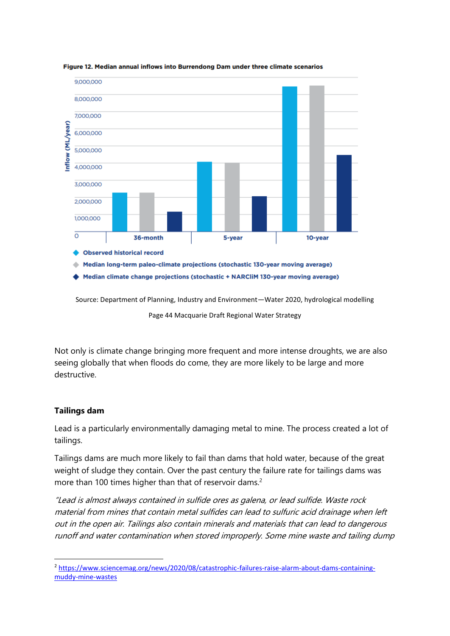

Figure 12. Median annual inflows into Burrendong Dam under three climate scenarios

Source: Department of Planning, Industry and Environment—Water 2020, hydrological modelling

Page 44 Macquarie Draft Regional Water Strategy

Not only is climate change bringing more frequent and more intense droughts, we are also seeing globally that when floods do come, they are more likely to be large and more destructive.

#### **Tailings dam**

**.** 

Lead is a particularly environmentally damaging metal to mine. The process created a lot of tailings.

Tailings dams are much more likely to fail than dams that hold water, because of the great weight of sludge they contain. Over the past century the failure rate for tailings dams was more than 100 times higher than that of reservoir dams.<sup>2</sup>

"Lead is almost always contained in sulfide ores as galena, or lead sulfide. Waste rock material from mines that contain metal sulfides can lead to sulfuric acid drainage when left out in the open air. Tailings also contain minerals and materials that can lead to dangerous runoff and water contamination when stored improperly. Some mine waste and tailing dump

<sup>2</sup> [https://www.sciencemag.org/news/2020/08/catastrophic-failures-raise-alarm-about-dams-containing](https://www.sciencemag.org/news/2020/08/catastrophic-failures-raise-alarm-about-dams-containing-muddy-mine-wastes)[muddy-mine-wastes](https://www.sciencemag.org/news/2020/08/catastrophic-failures-raise-alarm-about-dams-containing-muddy-mine-wastes)